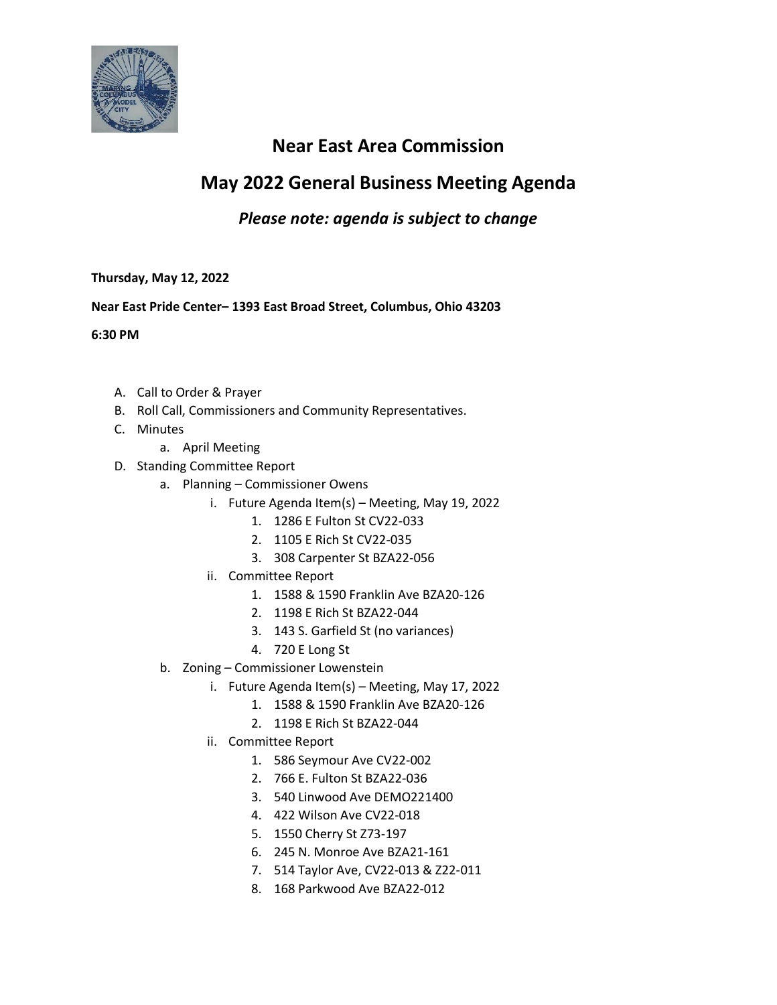

## **Near East Area Commission**

# **May 2022 General Business Meeting Agenda**

### *Please note: agenda is subject to change*

### **Thursday, May 12, 2022**

### **Near East Pride Center– 1393 East Broad Street, Columbus, Ohio 43203**

**6:30 PM**

- A. Call to Order & Prayer
- B. Roll Call, Commissioners and Community Representatives.
- C. Minutes
	- a. April Meeting
- D. Standing Committee Report
	- a. Planning Commissioner Owens
		- i. Future Agenda Item(s) Meeting, May 19, 2022
			- 1. 1286 E Fulton St CV22-033
			- 2. 1105 E Rich St CV22-035
			- 3. 308 Carpenter St BZA22-056
		- ii. Committee Report
			- 1. 1588 & 1590 Franklin Ave BZA20-126
			- 2. 1198 E Rich St BZA22-044
			- 3. 143 S. Garfield St (no variances)
			- 4. 720 E Long St
	- b. Zoning Commissioner Lowenstein
		- i. Future Agenda Item(s) Meeting, May 17, 2022
			- 1. 1588 & 1590 Franklin Ave BZA20-126
			- 2. 1198 E Rich St BZA22-044
		- ii. Committee Report
			- 1. 586 Seymour Ave CV22-002
			- 2. 766 E. Fulton St BZA22-036
			- 3. 540 Linwood Ave DEMO221400
			- 4. 422 Wilson Ave CV22-018
			- 5. 1550 Cherry St Z73-197
			- 6. 245 N. Monroe Ave BZA21-161
			- 7. 514 Taylor Ave, CV22-013 & Z22-011
			- 8. 168 Parkwood Ave BZA22-012